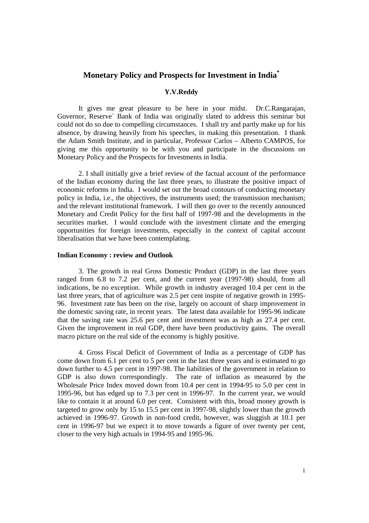# **Monetary Policy and Prospects for Investment in India\***

# **Y.V.Reddy**

It gives me great pleasure to be here in your midst. Dr.C.Rangarajan, Governor, Reserve` Bank of India was originally slated to address this seminar but could not do so due to compelling circumstances. I shall try and partly make up for his absence, by drawing heavily from his speeches, in making this presentation. I thank the Adam Smith Institute, and in particular, Professor Carlos – Alberto CAMPOS, for giving me this opportunity to be with you and participate in the discussions on Monetary Policy and the Prospects for Investments in India.

2. I shall initially give a brief review of the factual account of the performance of the Indian economy during the last three years, to illustrate the positive impact of economic reforms in India. I would set out the broad contours of conducting monetary policy in India, i.e., the objectives, the instruments used; the transmission mechanism; and the relevant institutional framework. I will then go over to the recently announced Monetary and Credit Policy for the first half of 1997-98 and the developments in the securities market. I would conclude with the investment climate and the emerging opportunities for foreign investments, especially in the context of capital account liberalisation that we have been contemplating.

#### **Indian Economy : review and Outlook**

3. The growth in real Gross Domestic Product (GDP) in the last three years ranged from 6.8 to 7.2 per cent, and the current year (1997-98) should, from all indications, be no exception. While growth in industry averaged 10.4 per cent in the last three years, that of agriculture was 2.5 per cent inspite of negative growth in 1995- 96. Investment rate has been on the rise, largely on account of sharp improvement in the domestic saving rate, in recent years. The latest data available for 1995-96 indicate that the saving rate was 25.6 per cent and investment was as high as 27.4 per cent. Given the improvement in real GDP, there have been productivity gains. The overall macro picture on the real side of the economy is highly positive.

4. Gross Fiscal Deficit of Government of India as a percentage of GDP has come down from 6.1 per cent to 5 per cent in the last three years and is estimated to go down further to 4.5 per cent in 1997-98. The liabilities of the government in relation to GDP is also down correspondingly. The rate of inflation as measured by the Wholesale Price Index moved down from 10.4 per cent in 1994-95 to 5.0 per cent in 1995-96, but has edged up to 7.3 per cent in 1996-97. In the current year, we would like to contain it at around 6.0 per cent. Consistent with this, broad money growth is targeted to grow only by 15 to 15.5 per cent in 1997-98, slightly lower than the growth achieved in 1996-97. Growth in non-food credit, however, was sluggish at 10.1 per cent in 1996-97 but we expect it to move towards a figure of over twenty per cent, closer to the very high actuals in 1994-95 and 1995-96.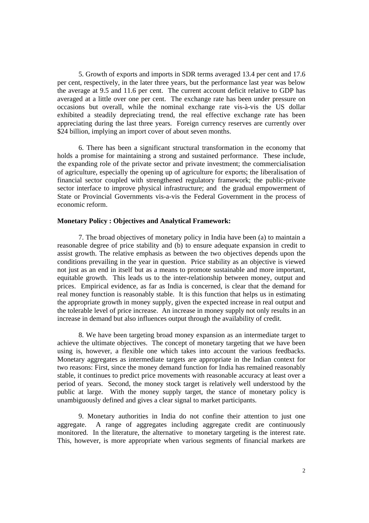5. Growth of exports and imports in SDR terms averaged 13.4 per cent and 17.6 per cent, respectively, in the later three years, but the performance last year was below the average at 9.5 and 11.6 per cent. The current account deficit relative to GDP has averaged at a little over one per cent. The exchange rate has been under pressure on occasions but overall, while the nominal exchange rate vis-à-vis the US dollar exhibited a steadily depreciating trend, the real effective exchange rate has been appreciating during the last three years. Foreign currency reserves are currently over \$24 billion, implying an import cover of about seven months.

6. There has been a significant structural transformation in the economy that holds a promise for maintaining a strong and sustained performance. These include, the expanding role of the private sector and private investment; the commercialisation of agriculture, especially the opening up of agriculture for exports; the liberalisation of financial sector coupled with strengthened regulatory framework; the public-private sector interface to improve physical infrastructure; and the gradual empowerment of State or Provincial Governments vis-a-vis the Federal Government in the process of economic reform.

### **Monetary Policy : Objectives and Analytical Framework:**

7. The broad objectives of monetary policy in India have been (a) to maintain a reasonable degree of price stability and (b) to ensure adequate expansion in credit to assist growth. The relative emphasis as between the two objectives depends upon the conditions prevailing in the year in question. Price stability as an objective is viewed not just as an end in itself but as a means to promote sustainable and more important, equitable growth. This leads us to the inter-relationship between money, output and prices. Empirical evidence, as far as India is concerned, is clear that the demand for real money function is reasonably stable. It is this function that helps us in estimating the appropriate growth in money supply, given the expected increase in real output and the tolerable level of price increase. An increase in money supply not only results in an increase in demand but also influences output through the availability of credit.

8. We have been targeting broad money expansion as an intermediate target to achieve the ultimate objectives. The concept of monetary targeting that we have been using is, however, a flexible one which takes into account the various feedbacks. Monetary aggregates as intermediate targets are appropriate in the Indian context for two reasons: First, since the money demand function for India has remained reasonably stable, it continues to predict price movements with reasonable accuracy at least over a period of years. Second, the money stock target is relatively well understood by the public at large. With the money supply target, the stance of monetary policy is unambiguously defined and gives a clear signal to market participants.

9. Monetary authorities in India do not confine their attention to just one aggregate. A range of aggregates including aggregate credit are continuously monitored. In the literature, the alternative to monetary targeting is the interest rate. This, however, is more appropriate when various segments of financial markets are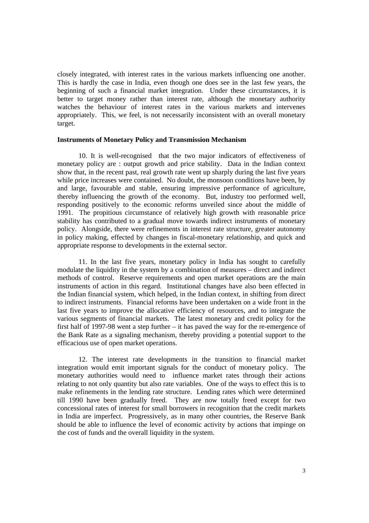closely integrated, with interest rates in the various markets influencing one another. This is hardly the case in India, even though one does see in the last few years, the beginning of such a financial market integration. Under these circumstances, it is better to target money rather than interest rate, although the monetary authority watches the behaviour of interest rates in the various markets and intervenes appropriately. This, we feel, is not necessarily inconsistent with an overall monetary target.

### **Instruments of Monetary Policy and Transmission Mechanism**

10. It is well-recognised that the two major indicators of effectiveness of monetary policy are : output growth and price stability. Data in the Indian context show that, in the recent past, real growth rate went up sharply during the last five years while price increases were contained. No doubt, the monsoon conditions have been, by and large, favourable and stable, ensuring impressive performance of agriculture, thereby influencing the growth of the economy. But, industry too performed well, responding positively to the economic reforms unveiled since about the middle of 1991. The propitious circumstance of relatively high growth with reasonable price stability has contributed to a gradual move towards indirect instruments of monetary policy. Alongside, there were refinements in interest rate structure, greater autonomy in policy making, effected by changes in fiscal-monetary relationship, and quick and appropriate response to developments in the external sector.

11. In the last five years, monetary policy in India has sought to carefully modulate the liquidity in the system by a combination of measures – direct and indirect methods of control. Reserve requirements and open market operations are the main instruments of action in this regard. Institutional changes have also been effected in the Indian financial system, which helped, in the Indian context, in shifting from direct to indirect instruments. Financial reforms have been undertaken on a wide front in the last five years to improve the allocative efficiency of resources, and to integrate the various segments of financial markets. The latest monetary and credit policy for the first half of 1997-98 went a step further – it has paved the way for the re-emergence of the Bank Rate as a signaling mechanism, thereby providing a potential support to the efficacious use of open market operations.

12. The interest rate developments in the transition to financial market integration would emit important signals for the conduct of monetary policy. The monetary authorities would need to influence market rates through their actions relating to not only quantity but also rate variables. One of the ways to effect this is to make refinements in the lending rate structure. Lending rates which were determined till 1990 have been gradually freed. They are now totally freed except for two concessional rates of interest for small borrowers in recognition that the credit markets in India are imperfect. Progressively, as in many other countries, the Reserve Bank should be able to influence the level of economic activity by actions that impinge on the cost of funds and the overall liquidity in the system.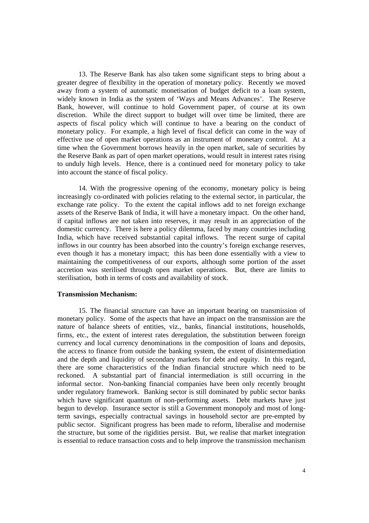13. The Reserve Bank has also taken some significant steps to bring about a greater degree of flexibility in the operation of monetary policy. Recently we moved away from a system of automatic monetisation of budget deficit to a loan system, widely known in India as the system of 'Ways and Means Advances'. The Reserve Bank, however, will continue to hold Government paper, of course at its own discretion. While the direct support to budget will over time be limited, there are aspects of fiscal policy which will continue to have a bearing on the conduct of monetary policy. For example, a high level of fiscal deficit can come in the way of effective use of open market operations as an instrument of monetary control. At a time when the Government borrows heavily in the open market, sale of securities by the Reserve Bank as part of open market operations, would result in interest rates rising to unduly high levels. Hence, there is a continued need for monetary policy to take into account the stance of fiscal policy.

14. With the progressive opening of the economy, monetary policy is being increasingly co-ordinated with policies relating to the external sector, in particular, the exchange rate policy. To the extent the capital inflows add to net foreign exchange assets of the Reserve Bank of India, it will have a monetary impact. On the other hand, if capital inflows are not taken into reserves, it may result in an appreciation of the domestic currency. There is here a policy dilemma, faced by many countries including India, which have received substantial capital inflows. The recent surge of capital inflows in our country has been absorbed into the country's foreign exchange reserves, even though it has a monetary impact; this has been done essentially with a view to maintaining the competitiveness of our exports, although some portion of the asset accretion was sterilised through open market operations. But, there are limits to sterilisation, both in terms of costs and availability of stock.

#### **Transmission Mechanism:**

15. The financial structure can have an important bearing on transmission of monetary policy. Some of the aspects that have an impact on the transmission are the nature of balance sheets of entities, viz., banks, financial institutions, households, firms, etc., the extent of interest rates deregulation, the substitution between foreign currency and local currency denominations in the composition of loans and deposits, the access to finance from outside the banking system, the extent of disintermediation and the depth and liquidity of secondary markets for debt and equity. In this regard, there are some characteristics of the Indian financial structure which need to be reckoned. A substantial part of financial intermediation is still occurring in the informal sector. Non-banking financial companies have been only recently brought under regulatory framework. Banking sector is still dominated by public sector banks which have significant quantum of non-performing assets. Debt markets have just begun to develop. Insurance sector is still a Government monopoly and most of longterm savings, especially contractual savings in household sector are pre-empted by public sector. Significant progress has been made to reform, liberalise and modernise the structure, but some of the rigidities persist. But, we realise that market integration is essential to reduce transaction costs and to help improve the transmission mechanism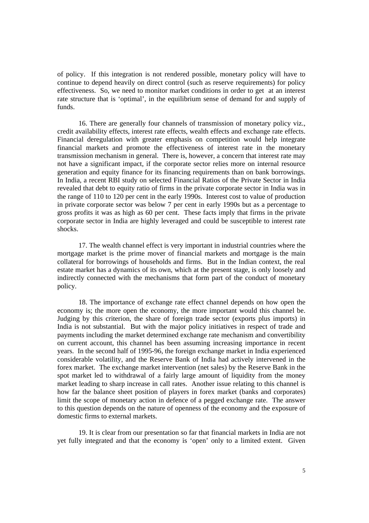of policy. If this integration is not rendered possible, monetary policy will have to continue to depend heavily on direct control (such as reserve requirements) for policy effectiveness. So, we need to monitor market conditions in order to get at an interest rate structure that is 'optimal', in the equilibrium sense of demand for and supply of funds.

16. There are generally four channels of transmission of monetary policy viz., credit availability effects, interest rate effects, wealth effects and exchange rate effects. Financial deregulation with greater emphasis on competition would help integrate financial markets and promote the effectiveness of interest rate in the monetary transmission mechanism in general. There is, however, a concern that interest rate may not have a significant impact, if the corporate sector relies more on internal resource generation and equity finance for its financing requirements than on bank borrowings. In India, a recent RBI study on selected Financial Ratios of the Private Sector in India revealed that debt to equity ratio of firms in the private corporate sector in India was in the range of 110 to 120 per cent in the early 1990s. Interest cost to value of production in private corporate sector was below 7 per cent in early 1990s but as a percentage to gross profits it was as high as 60 per cent. These facts imply that firms in the private corporate sector in India are highly leveraged and could be susceptible to interest rate shocks.

17. The wealth channel effect is very important in industrial countries where the mortgage market is the prime mover of financial markets and mortgage is the main collateral for borrowings of households and firms. But in the Indian context, the real estate market has a dynamics of its own, which at the present stage, is only loosely and indirectly connected with the mechanisms that form part of the conduct of monetary policy.

18. The importance of exchange rate effect channel depends on how open the economy is; the more open the economy, the more important would this channel be. Judging by this criterion, the share of foreign trade sector (exports plus imports) in India is not substantial. But with the major policy initiatives in respect of trade and payments including the market determined exchange rate mechanism and convertibility on current account, this channel has been assuming increasing importance in recent years. In the second half of 1995-96, the foreign exchange market in India experienced considerable volatility, and the Reserve Bank of India had actively intervened in the forex market. The exchange market intervention (net sales) by the Reserve Bank in the spot market led to withdrawal of a fairly large amount of liquidity from the money market leading to sharp increase in call rates. Another issue relating to this channel is how far the balance sheet position of players in forex market (banks and corporates) limit the scope of monetary action in defence of a pegged exchange rate. The answer to this question depends on the nature of openness of the economy and the exposure of domestic firms to external markets.

19. It is clear from our presentation so far that financial markets in India are not yet fully integrated and that the economy is 'open' only to a limited extent. Given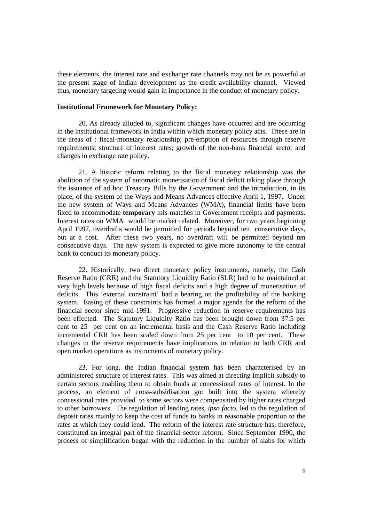these elements, the interest rate and exchange rate channels may not be as powerful at the present stage of Indian development as the credit availability channel. Viewed thus, monetary targeting would gain in importance in the conduct of monetary policy.

# **Institutional Framework for Monetary Policy:**

20. As already alluded to, significant changes have occurred and are occurring in the institutional framework in India within which monetary policy acts. These are in the areas of : fiscal-monetary relationship; pre-emption of resources through reserve requirements; structure of interest rates; growth of the non-bank financial sector and changes in exchange rate policy.

21. A historic reform relating to the fiscal monetary relationship was the abolition of the system of automatic monetisation of fiscal deficit taking place through the issuance of ad hoc Treasury Bills by the Government and the introduction, in its place, of the system of the Ways and Means Advances effective April 1, 1997. Under the new system of Ways and Means Advances (WMA), financial limits have been fixed to accommodate **temporary** mis-matches in Government receipts and payments. Interest rates on WMA would be market related. Moreover, for two years beginning April 1997, overdrafts would be permitted for periods beyond ten consecutive days, but at a cost. After these two years, no overdraft will be permitted beyond ten consecutive days. The new system is expected to give more autonomy to the central bank to conduct its monetary policy.

22. Historically, two direct monetary policy instruments, namely, the Cash Reserve Ratio (CRR) and the Statutory Liquidity Ratio (SLR) had to be maintained at very high levels because of high fiscal deficits and a high degree of monetisation of deficits. This 'external constraint' had a bearing on the profitability of the banking system. Easing of these constraints has formed a major agenda for the reform of the financial sector since mid-1991. Progressive reduction in reserve requirements has been effected. The Statutory Liquidity Ratio has been brought down from 37.5 per cent to 25 per cent on an incremental basis and the Cash Reserve Ratio including incremental CRR has been scaled down from 25 per cent to 10 per cent. These changes in the reserve requirements have implications in relation to both CRR and open market operations as instruments of monetary policy.

23. For long, the Indian financial system has been characterised by an administered structure of interest rates. This was aimed at directing implicit subsidy to certain sectors enabling them to obtain funds at concessional rates of interest. In the process, an element of cross-subsidisation got built into the system whereby concessional rates provided to some sectors were compensated by higher rates charged to other borrowers. The regulation of lending rates, *ipso facto,* led to the regulation of deposit rates mainly to keep the cost of funds to banks in reasonable proportion to the rates at which they could lend. The reform of the interest rate structure has, therefore, constituted an integral part of the financial sector reform. Since September 1990, the process of simplification began with the reduction in the number of slabs for which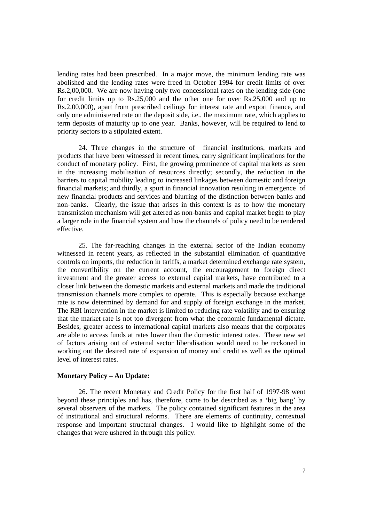lending rates had been prescribed. In a major move, the minimum lending rate was abolished and the lending rates were freed in October 1994 for credit limits of over Rs.2,00,000. We are now having only two concessional rates on the lending side (one for credit limits up to Rs.25,000 and the other one for over Rs.25,000 and up to Rs.2,00,000), apart from prescribed ceilings for interest rate and export finance, and only one administered rate on the deposit side, i.e., the maximum rate, which applies to term deposits of maturity up to one year. Banks, however, will be required to lend to priority sectors to a stipulated extent.

24. Three changes in the structure of financial institutions, markets and products that have been witnessed in recent times, carry significant implications for the conduct of monetary policy. First, the growing prominence of capital markets as seen in the increasing mobilisation of resources directly; secondly, the reduction in the barriers to capital mobility leading to increased linkages between domestic and foreign financial markets; and thirdly, a spurt in financial innovation resulting in emergence of new financial products and services and blurring of the distinction between banks and non-banks. Clearly, the issue that arises in this context is as to how the monetary transmission mechanism will get altered as non-banks and capital market begin to play a larger role in the financial system and how the channels of policy need to be rendered effective.

25. The far-reaching changes in the external sector of the Indian economy witnessed in recent years, as reflected in the substantial elimination of quantitative controls on imports, the reduction in tariffs, a market determined exchange rate system, the convertibility on the current account, the encouragement to foreign direct investment and the greater access to external capital markets, have contributed to a closer link between the domestic markets and external markets and made the traditional transmission channels more complex to operate. This is especially because exchange rate is now determined by demand for and supply of foreign exchange in the market. The RBI intervention in the market is limited to reducing rate volatility and to ensuring that the market rate is not too divergent from what the economic fundamental dictate. Besides, greater access to international capital markets also means that the corporates are able to access funds at rates lower than the domestic interest rates. These new set of factors arising out of external sector liberalisation would need to be reckoned in working out the desired rate of expansion of money and credit as well as the optimal level of interest rates.

#### **Monetary Policy – An Update:**

26. The recent Monetary and Credit Policy for the first half of 1997-98 went beyond these principles and has, therefore, come to be described as a 'big bang' by several observers of the markets. The policy contained significant features in the area of institutional and structural reforms. There are elements of continuity, contextual response and important structural changes. I would like to highlight some of the changes that were ushered in through this policy.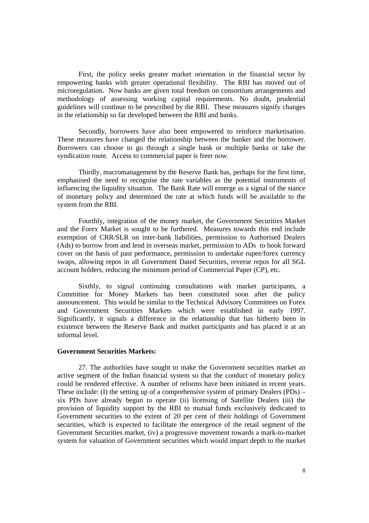First, the policy seeks greater market orientation in the financial sector by empowering banks with greater operational flexibility. The RBI has moved out of microregulation. Now banks are given total freedom on consortium arrangements and methodology of assessing working capital requirements. No doubt, prudential guidelines will continue to be prescribed by the RBI. These measures signify changes in the relationship so far developed between the RBI and banks.

Secondly, borrowers have also been empowered to reinforce marketisation. These measures have changed the relationship between the banker and the borrower. Borrowers can choose to go through a single bank or multiple banks or take the syndication route. Access to commercial paper is freer now.

Thirdly, macromanagement by the Reserve Bank has, perhaps for the first time, emphasised the need to recognise the rate variables as the potential instruments of influencing the liquidity situation. The Bank Rate will emerge as a signal of the stance of monetary policy and determined the rate at which funds will be available to the system from the RBI.

Fourthly, integration of the money market, the Government Securities Market and the Forex Market is sought to be furthered. Measures towards this end include exemption of CRR/SLR on inter-bank liabilities, permission to Authorised Dealers (Ads) to borrow from and lend in overseas market, permission to ADs to book forward cover on the basis of past performance, permission to undertake rupee/forex currency swaps, allowing repos in all Government Dated Securities, reverse repos for all SGL account holders, reducing the minimum period of Commercial Paper (CP), etc.

Sixthly, to signal continuing consultations with market participants, a Committee for Money Markets has been constituted soon after the policy announcement. This would be similar to the Technical Advisory Committees on Forex and Government Securities Markets which were established in early 1997. Significantly, it signals a difference in the relationship that has hitherto been in existence between the Reserve Bank and market participants and has placed it at an informal level.

#### **Government Securities Markets:**

27. The authorities have sought to make the Government securities market an active segment of the Indian financial system so that the conduct of monetary policy could be rendered effective. A number of reforms have been initiated in recent years. These include: (I) the setting up of a comprehensive system of primary Dealers (PDs) – six PDs have already begun to operate (ii) licensing of Satellite Dealers (iii) the provision of liquidity support by the RBI to mutual funds exclusively dedicated to Government securities to the extent of 20 per cent of their holdings of Government securities, which is expected to facilitate the emergence of the retail segment of the Government Securities market, (iv) a progressive movement towards a mark-to-market system for valuation of Government securities which would impart depth to the market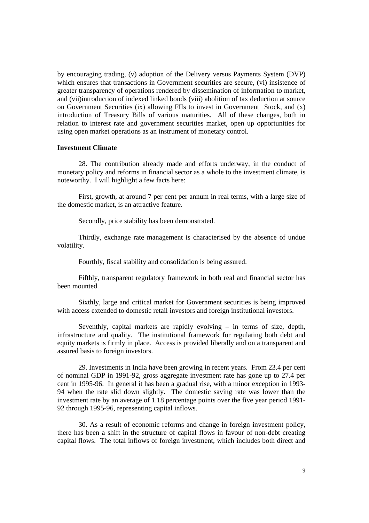by encouraging trading, (v) adoption of the Delivery versus Payments System (DVP) which ensures that transactions in Government securities are secure, (vi) insistence of greater transparency of operations rendered by dissemination of information to market, and (vii)introduction of indexed linked bonds (viii) abolition of tax deduction at source on Government Securities (ix) allowing FIIs to invest in Government Stock, and (x) introduction of Treasury Bills of various maturities. All of these changes, both in relation to interest rate and government securities market, open up opportunities for using open market operations as an instrument of monetary control.

# **Investment Climate**

28. The contribution already made and efforts underway, in the conduct of monetary policy and reforms in financial sector as a whole to the investment climate, is noteworthy. I will highlight a few facts here:

First, growth, at around 7 per cent per annum in real terms, with a large size of the domestic market, is an attractive feature.

Secondly, price stability has been demonstrated.

Thirdly, exchange rate management is characterised by the absence of undue volatility.

Fourthly, fiscal stability and consolidation is being assured.

Fifthly, transparent regulatory framework in both real and financial sector has been mounted.

Sixthly, large and critical market for Government securities is being improved with access extended to domestic retail investors and foreign institutional investors.

Seventhly, capital markets are rapidly evolving – in terms of size, depth, infrastructure and quality. The institutional framework for regulating both debt and equity markets is firmly in place. Access is provided liberally and on a transparent and assured basis to foreign investors.

29. Investments in India have been growing in recent years. From 23.4 per cent of nominal GDP in 1991-92, gross aggregate investment rate has gone up to 27.4 per cent in 1995-96. In general it has been a gradual rise, with a minor exception in 1993- 94 when the rate slid down slightly. The domestic saving rate was lower than the investment rate by an average of 1.18 percentage points over the five year period 1991- 92 through 1995-96, representing capital inflows.

30. As a result of economic reforms and change in foreign investment policy, there has been a shift in the structure of capital flows in favour of non-debt creating capital flows. The total inflows of foreign investment, which includes both direct and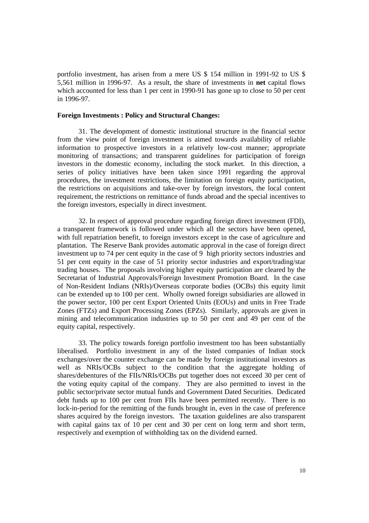portfolio investment, has arisen from a mere US \$ 154 million in 1991-92 to US \$ 5,561 million in 1996-97. As a result, the share of investments in **net** capital flows which accounted for less than 1 per cent in 1990-91 has gone up to close to 50 per cent in 1996-97.

#### **Foreign Investments : Policy and Structural Changes:**

31. The development of domestic institutional structure in the financial sector from the view point of foreign investment is aimed towards availability of reliable information to prospective investors in a relatively low-cost manner; appropriate monitoring of transactions; and transparent guidelines for participation of foreign investors in the domestic economy, including the stock market. In this direction, a series of policy initiatives have been taken since 1991 regarding the approval procedures, the investment restrictions, the limitation on foreign equity participation, the restrictions on acquisitions and take-over by foreign investors, the local content requirement, the restrictions on remittance of funds abroad and the special incentives to the foreign investors, especially in direct investment.

32. In respect of approval procedure regarding foreign direct investment (FDI), a transparent framework is followed under which all the sectors have been opened, with full repatriation benefit, to foreign investors except in the case of agriculture and plantation. The Reserve Bank provides automatic approval in the case of foreign direct investment up to 74 per cent equity in the case of 9 high priority sectors industries and 51 per cent equity in the case of 51 priority sector industries and export/trading/star trading houses. The proposals involving higher equity participation are cleared by the Secretariat of Industrial Approvals/Foreign Investment Promotion Board. In the case of Non-Resident Indians (NRIs)/Overseas corporate bodies (OCBs) this equity limit can be extended up to 100 per cent. Wholly owned foreign subsidiaries are allowed in the power sector, 100 per cent Export Oriented Units (EOUs) and units in Free Trade Zones (FTZs) and Export Processing Zones (EPZs). Similarly, approvals are given in mining and telecommunication industries up to 50 per cent and 49 per cent of the equity capital, respectively.

33. The policy towards foreign portfolio investment too has been substantially liberalised. Portfolio investment in any of the listed companies of Indian stock exchanges/over the counter exchange can be made by foreign institutional investors as well as NRIs/OCBs subject to the condition that the aggregate holding of shares/debentures of the FIIs/NRIs/OCBs put together does not exceed 30 per cent of the voting equity capital of the company. They are also permitted to invest in the public sector/private sector mutual funds and Government Dated Securities. Dedicated debt funds up to 100 per cent from FIIs have been permitted recently. There is no lock-in-period for the remitting of the funds brought in, even in the case of preference shares acquired by the foreign investors. The taxation guidelines are also transparent with capital gains tax of 10 per cent and 30 per cent on long term and short term, respectively and exemption of withholding tax on the dividend earned.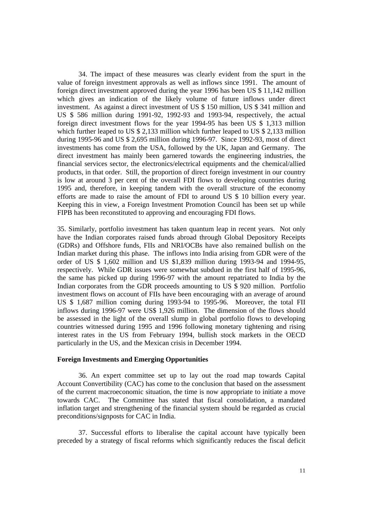34. The impact of these measures was clearly evident from the spurt in the value of foreign investment approvals as well as inflows since 1991. The amount of foreign direct investment approved during the year 1996 has been US \$ 11,142 million which gives an indication of the likely volume of future inflows under direct investment. As against a direct investment of US \$ 150 million, US \$ 341 million and US \$ 586 million during 1991-92, 1992-93 and 1993-94, respectively, the actual foreign direct investment flows for the year 1994-95 has been US \$ 1,313 million which further leaped to US \$ 2,133 million which further leaped to US \$ 2,133 million during 1995-96 and US \$ 2,695 million during 1996-97. Since 1992-93, most of direct investments has come from the USA, followed by the UK, Japan and Germany. The direct investment has mainly been garnered towards the engineering industries, the financial services sector, the electronics/electrical equipments and the chemical/allied products, in that order. Still, the proportion of direct foreign investment in our country is low at around 3 per cent of the overall FDI flows to developing countries during 1995 and, therefore, in keeping tandem with the overall structure of the economy efforts are made to raise the amount of FDI to around US \$ 10 billion every year. Keeping this in view, a Foreign Investment Promotion Council has been set up while FIPB has been reconstituted to approving and encouraging FDI flows.

35. Similarly, portfolio investment has taken quantum leap in recent years. Not only have the Indian corporates raised funds abroad through Global Depository Receipts (GDRs) and Offshore funds, FIIs and NRI/OCBs have also remained bullish on the Indian market during this phase. The inflows into India arising from GDR were of the order of US \$ 1,602 million and US \$1,839 million during 1993-94 and 1994-95, respectively. While GDR issues were somewhat subdued in the first half of 1995-96, the same has picked up during 1996-97 with the amount repatriated to India by the Indian corporates from the GDR proceeds amounting to US \$ 920 million. Portfolio investment flows on account of FIIs have been encouraging with an average of around US \$ 1,687 million coming during 1993-94 to 1995-96. Moreover, the total FII inflows during 1996-97 were US\$ 1,926 million. The dimension of the flows should be assessed in the light of the overall slump in global portfolio flows to developing countries witnessed during 1995 and 1996 following monetary tightening and rising interest rates in the US from February 1994, bullish stock markets in the OECD particularly in the US, and the Mexican crisis in December 1994.

# **Foreign Investments and Emerging Opportunities**

36. An expert committee set up to lay out the road map towards Capital Account Convertibility (CAC) has come to the conclusion that based on the assessment of the current macroeconomic situation, the time is now appropriate to initiate a move towards CAC. The Committee has stated that fiscal consolidation, a mandated inflation target and strengthening of the financial system should be regarded as crucial preconditions/signposts for CAC in India.

37. Successful efforts to liberalise the capital account have typically been preceded by a strategy of fiscal reforms which significantly reduces the fiscal deficit